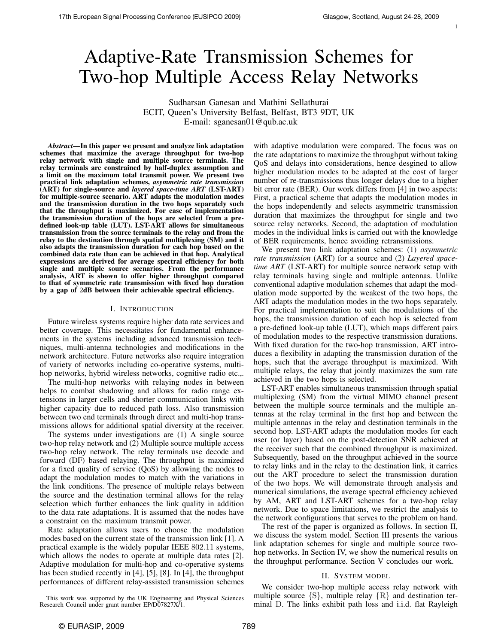1

# Adaptive-Rate Transmission Schemes for Two-hop Multiple Access Relay Networks

Sudharsan Ganesan and Mathini Sellathurai ECIT, Queen's University Belfast, Belfast, BT3 9DT, UK E-mail: sganesan01@qub.ac.uk

*Abstract*—In this paper we present and analyze link adaptation schemes that maximize the average throughput for two-hop relay network with single and multiple source terminals. The relay terminals are constrained by half-duplex assumption and a limit on the maximum total transmit power. We present two practical link adaptation schemes, *asymmetric rate transmission* (ART) for single-source and *layered space-time ART* (LST-ART) for multiple-source scenario. ART adapts the modulation modes and the transmission duration in the two hops separately such that the throughput is maximized. For ease of implementation the transmission duration of the hops are selected from a predefined look-up table (LUT). LST-ART allows for simultaneous transmission from the source terminals to the relay and from the relay to the destination through spatial multiplexing (SM) and it also adapts the transmission duration for each hop based on the combined data rate than can be achieved in that hop. Analytical expressions are derived for average spectral efficiency for both single and multiple source scenarios. From the performance analysis, ART is shown to offer higher throughput compared to that of symmetric rate transmission with fixed hop duration by a gap of 2dB between their achievable spectral efficiency.

#### I. INTRODUCTION

Future wireless systems require higher data rate services and better coverage. This necessitates for fundamental enhancements in the systems including advanced transmission techniques, multi-antenna technologies and modifications in the network architecture. Future networks also require integration of variety of networks including co-operative systems, multihop networks, hybrid wireless networks, cognitive radio etc.,.

The multi-hop networks with relaying nodes in between helps to combat shadowing and allows for radio range extensions in larger cells and shorter communication links with higher capacity due to reduced path loss. Also transmission between two end terminals through direct and multi-hop transmissions allows for additional spatial diversity at the receiver.

The systems under investigations are (1) A single source two-hop relay network and (2) Multiple source multiple access two-hop relay network. The relay terminals use decode and forward (DF) based relaying. The throughput is maximized for a fixed quality of service (QoS) by allowing the nodes to adapt the modulation modes to match with the variations in the link conditions. The presence of multiple relays between the source and the destination terminal allows for the relay selection which further enhances the link quality in addition to the data rate adaptations. It is assumed that the nodes have a constraint on the maximum transmit power.

Rate adaptation allows users to choose the modulation modes based on the current state of the transmission link [1]. A practical example is the widely popular IEEE 802.11 systems, which allows the nodes to operate at multiple data rates [2]. Adaptive modulation for multi-hop and co-operative systems has been studied recently in [4], [5], [8]. In [4], the throughput performances of different relay-assisted transmission schemes

This work was supported by the UK Engineering and Physical Sciences Research Council under grant number EP/D07827X/1.

with adaptive modulation were compared. The focus was on the rate adaptations to maximize the throughput without taking QoS and delays into considerations, hence desgined to allow higher modulation modes to be adapted at the cost of larger number of re-transmissions thus longer delays due to a higher bit error rate (BER). Our work differs from [4] in two aspects: First, a practical scheme that adapts the modulation modes in the hops independently and selects asymmetric transmission duration that maximizes the throughput for single and two source relay networks. Second, the adaptation of modulation modes in the individual links is carried out with the knowledge of BER requirements, hence avoiding retransmissions.

We present two link adaptation schemes: (1) *asymmetric rate transmission* (ART) for a source and (2) *Layered spacetime ART* (LST-ART) for multiple source network setup with relay terminals having single and multiple antennas. Unlike conventional adaptive modulation schemes that adapt the modulation mode supported by the weakest of the two hops, the ART adapts the modulation modes in the two hops separately. For practical implementation to suit the modulations of the hops, the transmission duration of each hop is selected from a pre-defined look-up table (LUT), which maps different pairs of modulation modes to the respective transmission durations. With fixed duration for the two-hop transmission, ART introduces a flexibility in adapting the transmission duration of the hops, such that the average throughput is maximized. With multiple relays, the relay that jointly maximizes the sum rate achieved in the two hops is selected.

LST-ART enables simultaneous transmission through spatial multiplexing (SM) from the virtual MIMO channel present between the multiple source terminals and the multiple antennas at the relay terminal in the first hop and between the multiple antennas in the relay and destination terminals in the second hop. LST-ART adapts the modulation modes for each user (or layer) based on the post-detection SNR achieved at the receiver such that the combined throughput is maximized. Subsequently, based on the throughput achieved in the source to relay links and in the relay to the destination link, it carries out the ART procedure to select the transmission duration of the two hops. We will demonstrate through analysis and numerical simulations, the average spectral efficiency achieved by AM, ART and LST-ART schemes for a two-hop relay network. Due to space limitations, we restrict the analysis to the network configurations that serves to the problem on hand.

The rest of the paper is organized as follows. In section II, we discuss the system model. Section III presents the various link adaptation schemes for single and multiple source twohop networks. In Section IV, we show the numerical results on the throughput performance. Section V concludes our work.

#### II. SYSTEM MODEL

We consider two-hop multiple access relay network with multiple source  $\{S\}$ , multiple relay  $\{R\}$  and destination terminal D. The links exhibit path loss and i.i.d. flat Rayleigh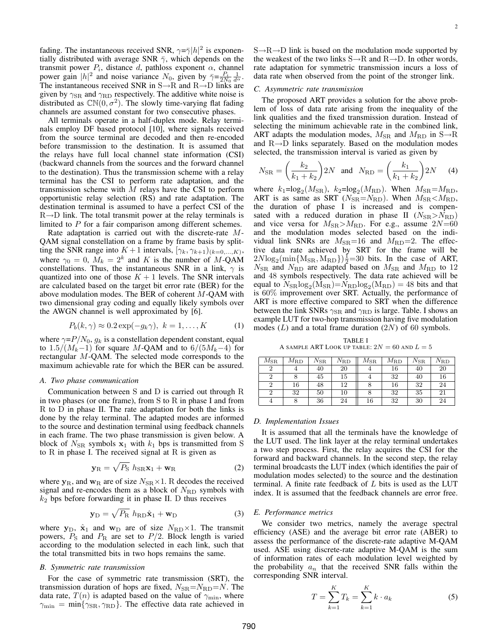fading. The instantaneous received SNR,  $\gamma = \bar{\gamma} |h|^2$  is exponentially distributed with average SNR  $\bar{\gamma}$ , which depends on the transmit power  $P_i$ , distance d, pathloss exponent  $\alpha$ , channel power gain  $|h|^2$  and noise variance  $N_0$ , given by  $\overline{\gamma} = \frac{P_i}{2N_0} \frac{1}{d\alpha}$ . The instantaneous received SNR in  $S \rightarrow R$  and  $R \rightarrow D$  links are given by  $\gamma_{\rm SR}$  and  $\gamma_{\rm RD}$  respectively. The additive white noise is distributed as  $CN(0, \sigma^2)$ . The slowly time-varying flat fading channels are assumed constant for two consecutive phases.

All terminals operate in a half-duplex mode. Relay terminals employ DF based protocol [10], where signals received from the source terminal are decoded and then re-encoded before transmission to the destination. It is assumed that the relays have full local channel state information (CSI) (backward channels from the sources and the forward channel to the destination). Thus the transmission scheme with a relay terminal has the CSI to perform rate adaptation, and the transmission scheme with  $M$  relays have the CSI to perform opportunistic relay selection (RS) and rate adaptation. The destination terminal is assumed to have a perfect CSI of the  $R\rightarrow D$  link. The total transmit power at the relay terminals is limited to P for a fair comparison among different schemes.

Rate adaptation is carried out with the discrete-rate M-QAM signal constellation on a frame by frame basis by splitting the SNR range into  $K+1$  intervals,  $[\gamma_k, \gamma_{k+1}]_{(k=0,...,K)}$ , where  $\gamma_0 = 0$ ,  $M_k = 2^k$  and K is the number of M-QAM constellations. Thus, the instantaneous SNR in a link,  $\gamma$  is quantized into one of those  $K + 1$  levels. The SNR intervals are calculated based on the target bit error rate (BER) for the above modulation modes. The BER of coherent M-QAM with two dimensional gray coding and equally likely symbols over the AWGN channel is well approximated by [6].

$$
P_b(k,\gamma) \approx 0.2 \exp(-g_k \gamma), \ k = 1, \dots, K \tag{1}
$$

where  $\gamma = P/N_0$ ,  $g_k$  is a constellation dependent constant, equal to  $1.5/(M_k-1)$  for square M-QAM and to  $6/(5M_k-4)$  for rectangular M-QAM. The selected mode corresponds to the maximum achievable rate for which the BER can be assured.

#### *A. Two phase communication*

Communication between S and D is carried out through R in two phases (or one frame), from S to R in phase I and from R to D in phase II. The rate adaptation for both the links is done by the relay terminal. The adapted modes are informed to the source and destination terminal using feedback channels in each frame. The two phase transmission is given below. A block of  $N_{\rm SR}$  symbols  $x_1$  with  $k_1$  bps is transmitted from S to R in phase I. The received signal at R is given as p

$$
\mathbf{y}_{\mathrm{R}} = \sqrt{P_{\mathrm{S}}} \; h_{\mathrm{SR}} \mathbf{x}_1 + \mathbf{w}_{\mathrm{R}} \tag{2}
$$

where  $y_R$ , and  $w_R$  are of size  $N_{SR} \times 1$ . R decodes the received signal and re-encodes them as a block of  $N_{\rm RD}$  symbols with  $k_2$  bps before forwarding it in phase II. D thus receives

$$
\mathbf{y}_{\mathrm{D}} = \sqrt{P_{\mathrm{R}}} h_{\mathrm{RD}} \hat{\mathbf{x}}_{1} + \mathbf{w}_{\mathrm{D}}
$$
 (3)

where  $y_D$ ,  $\hat{x}_1$  and  $w_D$  are of size  $N_{RD} \times 1$ . The transmit powers,  $P_{\rm S}$  and  $P_{\rm R}$  are set to  $P/2$ . Block length is varied according to the modulation selected in each link, such that the total transmitted bits in two hops remains the same.

#### *B. Symmetric rate transmission*

For the case of symmetric rate transmission (SRT), the transmission duration of hops are fixed,  $N_{\rm SR} = N_{\rm RD} = N$ . The data rate,  $T(n)$  is adapted based on the value of  $\gamma_{\rm min}$ , where  $\gamma_{\rm min} = \min\{\gamma_{\rm SR}, \gamma_{\rm RD}\}.$  The effective data rate achieved in

 $S \rightarrow R \rightarrow D$  link is based on the modulation mode supported by the weakest of the two links  $S\rightarrow R$  and  $R\rightarrow D$ . In other words, rate adaptation for symmetric transmission incurs a loss of data rate when observed from the point of the stronger link.

#### *C. Asymmetric rate transmission*

The proposed ART provides a solution for the above problem of loss of data rate arising from the inequality of the link qualities and the fixed transmission duration. Instead of selecting the minimum achievable rate in the combined link, ART adapts the modulation modes,  $M_{\rm SR}$  and  $M_{\rm RD}$  in S $\rightarrow$ R and  $R\rightarrow D$  links separately. Based on the modulation modes selected, the transmission interval is varied as given by

$$
N_{\rm SR} = \left(\frac{k_2}{k_1 + k_2}\right) 2N \quad \text{and} \quad N_{\rm RD} = \left(\frac{k_1}{k_1 + k_2}\right) 2N \tag{4}
$$

where  $k_1 = \log_2(M_{\rm SR})$ ,  $k_2 = \log_2(M_{\rm RD})$ . When  $M_{\rm SR} = M_{\rm RD}$ , ART is as same as SRT ( $N_{\text{SR}}=N_{\text{RD}}$ ). When  $M_{\text{SR}} < M_{\text{RD}}$ , the duration of phase I is increased and is compensated with a reduced duration in phase II  $(N_{\rm SR} > N_{\rm RD})$ and vice versa for  $M_{\rm SR} > M_{\rm RD}$ . For e.g., assume  $2N=60$ and the modulation modes selected based on the individual link SNRs are  $M_{\text{SR}}=16$  and  $M_{\text{RD}}=2$ . The effective data rate achieved by SRT for the frame will be  $2N\log_2(\min\{M_{\rm SR}, M_{\rm RD}\})\frac{1}{2}=30$  bits. In the case of ART,  $N_{\rm SR}$  and  $N_{\rm RD}$  are adapted based on  $M_{\rm SR}$  and  $M_{\rm RD}$  to 12 and 48 symbols respectively. The data rate achieved will be equal to  $N_{\rm SR}$   $\log_2(M_{\rm SR}) = N_{\rm RD}$   $\log_2(M_{\rm RD}) = 48$  bits and that is 60% improvement over SRT. Actually, the performance of ART is more effective compared to SRT when the difference between the link SNRs  $\gamma_{\rm SR}$  and  $\gamma_{\rm RD}$  is large. Table. I shows an example LUT for two-hop transmission having five modulation modes  $(L)$  and a total frame duration  $(2N)$  of 60 symbols.

TABLE I A SAMPLE ART LOOK UP TABLE:  $2N=60$  and  $L=5$ 

| $M_{\rm SR}$ | $M_{\rm RD}$ | $N_{\mathrm{SR}}$ | $N_{\rm RD}$ | $M_{\rm SR}$ | $M_{\rm RD}$ | $N_{\mathrm{SR}}$ | $N_{\rm RD}$ |
|--------------|--------------|-------------------|--------------|--------------|--------------|-------------------|--------------|
|              |              | 40                | 20           |              | 16           | 40                | 20           |
|              |              | 45                | 15           |              | 32           | 40                | 16           |
|              | 16           | 48                | 12           |              | 16           | 32                | 24           |
|              | 32           | 50                | 10           |              | 32           | 35                | 21           |
|              |              | 36                | 24           | 16           | 32           | 30                | 24           |

## *D. Implementation Issues*

It is assumed that all the terminals have the knowledge of the LUT used. The link layer at the relay terminal undertakes a two step process. First, the relay acquires the CSI for the forward and backward channels. In the second step, the relay terminal broadcasts the LUT index (which identifies the pair of modulation modes selected) to the source and the destination terminal. A finite rate feedback of  $L$  bits is used as the LUT index. It is assumed that the feedback channels are error free.

## *E. Performance metrics*

We consider two metrics, namely the average spectral efficiency (ASE) and the average bit error rate (ABER) to assess the performance of the discrete-rate adaptive M-QAM used. ASE using discrete-rate adaptive M-QAM is the sum of information rates of each modulation level weighted by the probability  $a_n$  that the received SNR falls within the corresponding SNR interval.

$$
T = \sum_{k=1}^{K} T_k = \sum_{k=1}^{K} k \cdot a_k
$$
 (5)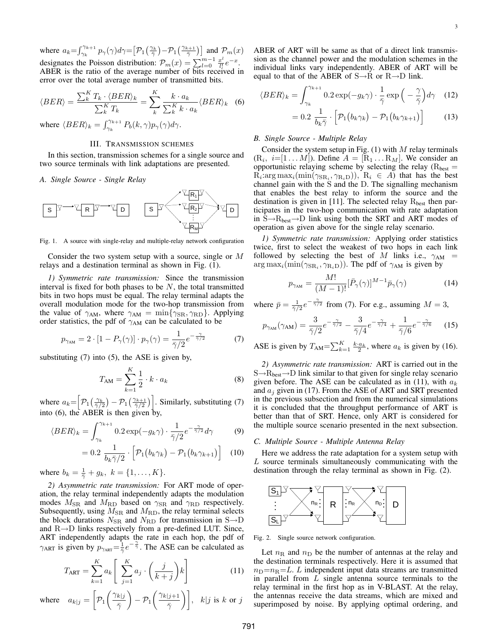where  $a_k = \int_{\gamma_k}^{\gamma_{k+1}}$  $\frac{\gamma_{k+1}}{\gamma_k} p_\gamma(\gamma) d\gamma =$ £  $\mathcal{P}_1$  $\left(\frac{\gamma_k}{\bar{\gamma}}\right)$ ¢  $-\mathcal{P}_1\left(\frac{\gamma_{k+1}}{\bar{\gamma}}\right)$  and  $\mathcal{P}_m(x)$ designates the Poisson distribution:  $\mathcal{P}_m(x) = \sum_{l=0}^{m-1} \frac{x^l}{l!}$  $rac{x^l}{l!}e^{-x}.$ ABER is the ratio of the average number of bits received in error over the total average number of transmitted bits.

$$
\langle BER \rangle = \frac{\sum_{k}^{K} T_{k} \cdot \langle BER \rangle_{k}}{\sum_{k}^{K} T_{k}} = \sum_{k}^{K} \frac{k \cdot a_{k}}{\sum_{k}^{K} k \cdot a_{k}} \langle BER \rangle_{k}
$$
(6)

where  $\langle BER \rangle_k = \int_{\gamma_k}^{\gamma_{k+1}}$  $\int_{\gamma_k}^{\gamma_{k+1}} P_b(k,\gamma) p_\gamma(\gamma) d\gamma.$ 

# III. TRANSMISSION SCHEMES

In this section, transmission schemes for a single source and two source terminals with link adaptations are presented.

#### *A. Single Source - Single Relay*



Fig. 1. A source with single-relay and multiple-relay network configuration

Consider the two system setup with a source, single or M relays and a destination terminal as shown in Fig. (1).

*1) Symmetric rate transmission:* Since the transmission interval is fixed for both phases to be  $N$ , the total transmitted bits in two hops must be equal. The relay terminal adapts the overall modulation mode for the two-hop transmission from the value of  $\gamma_{AM}$ , where  $\gamma_{AM} = \min\{\gamma_{SR}, \gamma_{RD}\}\$ . Applying order statistics, the pdf of  $\gamma_{AM}$  can be calculated to be

$$
p_{\gamma_{\rm AM}} = 2 \cdot [1 - P_{\gamma}(\gamma)] \cdot p_{\gamma}(\gamma) = \frac{1}{\bar{\gamma}/2} e^{-\frac{\gamma}{\bar{\gamma}/2}} \tag{7}
$$

substituting (7) into (5), the ASE is given by,

$$
T_{\rm AM} = \sum_{k=1}^{K} \frac{1}{2} \cdot k \cdot a_k \tag{8}
$$

where  $a_k=$ h  $\mathcal{P}_1$  $\left(\frac{\gamma_k}{\bar{\gamma}/2}\right)$ ¢  $-\mathcal{P}_1\big(\frac{\gamma_{k+1}}{\bar{\gamma}/2}$  $\sqrt{1}$ . Similarly, substituting (7) into (6), the ABER is then given by,

$$
\langle BER \rangle_k = \int_{\gamma_k}^{\gamma_{k+1}} 0.2 \exp(-g_k \gamma) \cdot \frac{1}{\bar{\gamma}/2} e^{-\frac{\gamma}{\bar{\gamma}/2}} d\gamma \tag{9}
$$

$$
= 0.2 \frac{1}{b_k \bar{\gamma}/2} \cdot \left[ \mathcal{P}_1(b_k \gamma_k) - \mathcal{P}_1(b_k \gamma_{k+1}) \right]
$$
 (10)

where  $b_k = \frac{1}{\bar{\gamma}} + g_k, \ k = \{1, \dots, K\}.$ 

*2) Asymmetric rate transmission:* For ART mode of operation, the relay terminal independently adapts the modulation modes  $M_{\rm SR}$  and  $M_{\rm RD}$  based on  $\gamma_{\rm SR}$  and  $\gamma_{\rm RD}$  respectively. Subsequently, using  $M_{\rm SR}$  and  $M_{\rm RD}$ , the relay terminal selects the block durations  $N_{\rm SR}$  and  $N_{\rm RD}$  for transmission in S $\rightarrow$ D and R→D links respectively from a pre-defined LUT. Since, ART independently adapts the rate in each hop, the pdf of  $\gamma_{\text{ART}}$  is given by  $p_{\gamma_{\text{ART}}} = \frac{1}{2}e^{-\frac{\gamma}{2}}$ . The ASE can be calculated as

$$
T_{\text{ART}} = \sum_{k=1}^{K} a_k \left[ \sum_{j=1}^{K} a_j \cdot \left( \frac{j}{k+j} \right) k \right]
$$
 (11)

where 
$$
a_{k|j} = \left[\mathcal{P}_1\left(\frac{\gamma_{k|j}}{\bar{\gamma}}\right) - \mathcal{P}_1\left(\frac{\gamma_{k|j+1}}{\bar{\gamma}}\right)\right], k|j \text{ is } k \text{ or } j
$$

ABER of ART will be same as that of a direct link transmission as the channel power and the modulation schemes in the individual links vary independently. ABER of ART will be equal to that of the ABER of  $S \rightarrow R$  or  $R \rightarrow D$  link.

$$
\langle BER \rangle_k = \int_{\gamma_k}^{\gamma_{k+1}} 0.2 \exp(-g_k \gamma) \cdot \frac{1}{\bar{\gamma}} \exp\left(-\frac{\gamma}{\bar{\gamma}}\right) d\gamma \quad (12)
$$

$$
= 0.2 \frac{1}{b_k \bar{\gamma}} \cdot \left[ \mathcal{P}_1(b_k \gamma_k) - \mathcal{P}_1(b_k \gamma_{k+1}) \right]
$$
(13)

#### *B. Single Source - Multiple Relay*

Consider the system setup in Fig.  $(1)$  with M relay terminals  $(R_i, i=[1 \dots M])$ . Define  $A = [R_1 \dots R_M]$ . We consider an opportunistic relaying scheme by selecting the relay ( $R_{best}$  =  $R_i: \arg \max_i (\min(\gamma_{SR_i}, \gamma_{R_iD}))$ ,  $R_i \in A$ ) that has the best channel gain with the S and the D. The signalling mechanism that enables the best relay to inform the source and the destination is given in [11]. The selected relay  $R_{best}$  then participates in the two-hop communication with rate adaptation in  $S \rightarrow R_{best} \rightarrow D$  link using both the SRT and ART modes of operation as given above for the single relay scenario.

*1) Symmetric rate transmission:* Applying order statistics twice, first to select the weakest of two hops in each link followed by selecting the best of M links i.e.,  $\gamma_{AM}$  $\arg \max_i(\min(\gamma_{SR_i}, \gamma_{R_iD}))$ . The pdf of  $\gamma_{AM}$  is given by

$$
p_{\gamma_{AM}} = \frac{M!}{(M-1)!} [\bar{P}_{\gamma}(\gamma)]^{M-1} \bar{p}_{\gamma}(\gamma)
$$
(14)

where  $\bar{p} = \frac{1}{\bar{\gamma}/2}e^{-\frac{\gamma}{\bar{\gamma}/2}}$  from (7). For e.g., assuming  $M = 3$ ,

$$
p_{\gamma_{\rm AM}}(\gamma_{\rm AM}) = \frac{3}{\bar{\gamma}/2}e^{-\frac{\gamma}{\bar{\gamma}/2}} - \frac{3}{\bar{\gamma}/4}e^{-\frac{\gamma}{\bar{\gamma}/4}} + \frac{1}{\bar{\gamma}/6}e^{-\frac{\gamma}{\bar{\gamma}/6}} \qquad (15)
$$

ASE is given by  $T_{AM} = \sum_{k=1}^{K}$  $\frac{K}{k=1} \frac{k \cdot a_k}{2}$ , where  $a_k$  is given by (16).

*2) Asymmetric rate transmission:* ART is carried out in the  $S \rightarrow R_{best} \rightarrow D$  link similar to that given for single relay scenario given before. The ASE can be calculated as in (11), with  $a_k$ and  $a_i$  given in (17). From the ASE of ART and SRT presented in the previous subsection and from the numerical simulations it is concluded that the throughput performance of ART is better than that of SRT. Hence, only ART is considered for the multiple source scenario presented in the next subsection.

# *C. Multiple Source - Multiple Antenna Relay*

Here we address the rate adaptation for a system setup with  $L$  source terminals simultaneously communicating with the destination through the relay terminal as shown in Fig. (2).



Fig. 2. Single source network configuration.

Let  $n<sub>R</sub>$  and  $n<sub>D</sub>$  be the number of antennas at the relay and the destination terminals respectively. Here it is assumed that  $n_D=n_R=L$ . L independent input data streams are transmitted in parallel from L single antenna source terminals to the relay terminal in the first hop as in V-BLAST. At the relay, the antennas receive the data streams, which are mixed and superimposed by noise. By applying optimal ordering, and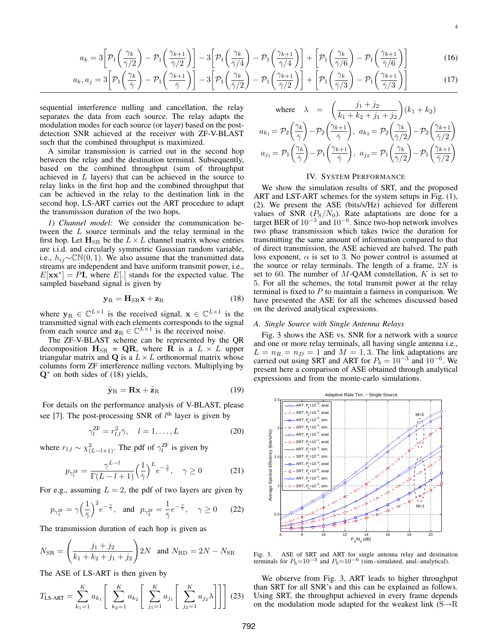$$
3\left[\mathcal{P}_1\left(\frac{\gamma_k}{\bar{\gamma}/2}\right) - \mathcal{P}_1\left(\frac{\gamma_{k+1}}{\bar{\gamma}/2}\right)\right] - 3\left[\mathcal{P}_1\left(\frac{\gamma_k}{\bar{\gamma}/4}\right) - \mathcal{P}_1\left(\frac{\gamma_{k+1}}{\bar{\gamma}/4}\right)\right] + \left[\mathcal{P}_1\left(\frac{\gamma_k}{\bar{\gamma}/6}\right) - \mathcal{P}_1\left(\frac{\gamma_{k+1}}{\bar{\gamma}/6}\right)\right]
$$
(16)  
- 3 $\left[\mathcal{P}_1\left(\frac{\gamma_k}{\bar{\gamma}/6}\right) - \mathcal{P}_1\left(\frac{\gamma_{k+1}}{\bar{\gamma}/6}\right)\right] - 3\left[\mathcal{P}_1\left(\frac{\gamma_k}{\bar{\gamma}/4}\right) - \mathcal{P}_1\left(\frac{\gamma_{k+1}}{\bar{\gamma}/6}\right)\right] + \left[\mathcal{P}_1\left(\frac{\gamma_k}{\bar{\gamma}/6}\right) - \mathcal{P}_1\left(\frac{\gamma_{k+1}}{\bar{\gamma}/6}\right)\right]$ (17)

$$
a_k, a_j = 3\left[\mathcal{P}_1\left(\frac{\gamma_k}{\bar{\gamma}}\right) - \mathcal{P}_1\left(\frac{\gamma_{k+1}}{\bar{\gamma}}\right)\right] - 3\left[\mathcal{P}_1\left(\frac{\gamma_k}{\bar{\gamma}/2}\right) - \mathcal{P}_1\left(\frac{\gamma_{k+1}}{\bar{\gamma}/2}\right)\right] + \left[\mathcal{P}_1\left(\frac{\gamma_k}{\bar{\gamma}/3}\right) - \mathcal{P}_1\left(\frac{\gamma_{k+1}}{\bar{\gamma}/3}\right)\right]
$$
(17)

sequential interference nulling and cancellation, the relay separates the data from each source. The relay adapts the modulation modes for each source (or layer) based on the postdetection SNR achieved at the receiver with ZF-V-BLAST such that the combined throughput is maximized.

 $a_k =$ 

A similar transmission is carried out in the second hop between the relay and the destination terminal. Subsequently, based on the combined throughput (sum of throughput achieved in L layers) that can be achieved in the source to relay links in the first hop and the combined throughput that can be achieved in the relay to the destination link in the second hop, LS-ART carries out the ART procedure to adapt the transmission duration of the two hops.

*1) Channel model:* We consider the communication between the L source terminals and the relay terminal in the first hop. Let  $H_{SR}$  be the  $L \times L$  channel matrix whose entries are i.i.d. and circularly symmetric Gaussian random variable, i.e.,  $h_{ij} \sim \mathbb{CN}(0, 1)$ . We also assume that the transmitted data streams are independent and have uniform transmit power, i.e.,  $E[\mathbf{x} \mathbf{x}^*] = P\mathbf{I}$ , where  $E[.]$  stands for the expected value. The sampled baseband signal is given by

$$
\mathbf{y}_{\mathrm{R}} = \mathbf{H}_{\mathrm{SR}} \mathbf{x} + \mathbf{z}_{\mathrm{R}} \tag{18}
$$

where  $y_R \in \mathbb{C}^{L \times 1}$  is the received signal,  $x \in \mathbb{C}^{L \times 1}$  is the transmitted signal with each elements corresponds to the signal from each source and  $z_R \in \mathbb{C}^{L \times 1}$  is the received noise.

The ZF-V-BLAST scheme can be represented by the QR decomposition  $H_{SR} = QR$ , where R is a  $L \times L$  upper triangular matrix and  $\bf{Q}$  is a  $L \times L$  orthonormal matrix whose columns form ZF interference nulling vectors. Multiplying by  $\mathbf{Q}^*$  on both sides of (18) yields,

$$
\tilde{\mathbf{y}}_{R} = \mathbf{R}\mathbf{x} + \tilde{\mathbf{z}}_{R} \tag{19}
$$

For details on the performance analysis of V-BLAST, please see [7]. The post-processing SNR of  $l<sup>th</sup>$  layer is given by

$$
\gamma_l^{\rm ZF} = r_{l,l}^2 \bar{\gamma}, \quad l = 1, \dots, L \tag{20}
$$

where  $r_{l,l} \sim \chi^2_{(L-l+1)}$ . The pdf of  $\gamma_l^{\text{ZF}}$  is given by

$$
p_{\gamma_l^{ZF}} = \frac{\gamma^{L-l}}{\Gamma(L-l+1)} \left(\frac{1}{\bar{\gamma}}\right)^L e^{-\frac{\gamma}{\bar{\gamma}}}, \quad \gamma \ge 0 \tag{21}
$$

For e.g., assuming  $L = 2$ , the pdf of two layers are given by

$$
p_{\gamma_1^{\text{ZF}}} = \gamma \Big(\frac{1}{\bar{\gamma}}\Big)^2 e^{-\frac{\gamma}{\bar{\gamma}}}, \quad \text{and} \quad p_{\gamma_2^{\text{ZF}}} = \frac{1}{\bar{\gamma}} e^{-\frac{\gamma}{\bar{\gamma}}}, \quad \gamma \ge 0 \qquad (22)
$$

The transmission duration of each hop is given as

$$
N_{\rm SR} = \left(\frac{j_1 + j_2}{k_1 + k_2 + j_1 + j_2}\right) 2N \text{ and } N_{\rm RD} = 2N - N_{\rm SR}
$$

The ASE of LS-ART is then given by

$$
T_{\text{LS-ART}} = \sum_{k_1=1}^{K} a_{k_1} \left[ \sum_{k_2=1}^{K} a_{k_2} \left[ \sum_{j_1=1}^{K} a_{j_1} \left[ \sum_{j_2=1}^{K} a_{j_2} \lambda \right] \right] \right] (23)
$$

where 
$$
\lambda = \left(\frac{j_1 + j_2}{k_1 + k_2 + j_1 + j_2}\right) (k_1 + k_2)
$$
  
\n $a_{k_1} = \mathcal{P}_2 \left(\frac{\gamma_k}{\overline{\gamma}}\right) - \mathcal{P}_2 \left(\frac{\gamma_{k+1}}{\overline{\gamma}}\right), \quad a_{k_2} = \mathcal{P}_2 \left(\frac{\gamma_k}{\overline{\gamma}/2}\right) - \mathcal{P}_2 \left(\frac{\gamma_{k+1}}{\overline{\gamma}/2}\right)$   
\n $a_{j_1} = \mathcal{P}_1 \left(\frac{\gamma_k}{\overline{\gamma}}\right) - \mathcal{P}_1 \left(\frac{\gamma_{k+1}}{\overline{\gamma}}\right), \quad a_{j_2} = \mathcal{P}_1 \left(\frac{\gamma_k}{\overline{\gamma}/2}\right) - \mathcal{P}_1 \left(\frac{\gamma_{k+1}}{\overline{\gamma}/2}\right)$ 

4

# IV. SYSTEM PERFORMANCE

We show the simulation results of SRT, and the proposed ART and LST-ART schemes for the system setups in Fig. (1), (2). We present the ASE (bits/s/Hz) achieved for different values of SNR  $(P<sub>S</sub>/N<sub>0</sub>)$ . Rate adaptations are done for a target BER of  $10^{-3}$  and  $10^{-6}$ . Since two-hop network involves two phase transmission which takes twice the duration for transmitting the same amount of information compared to that of direct transmission, the ASE achieved are halved. The path loss exponent,  $\alpha$  is set to 3. No power control is assumed at the source or relay terminals. The length of a frame,  $2N$  is set to 60. The number of  $M$ -QAM constellation,  $K$  is set to 5. For all the schemes, the total transmit power at the relay terminal is fixed to  $P$  to maintain a fairness in comparison. We have presented the ASE for all the schemes discussed based on the derived analytical expressions.

# *A. Single Source with Single Antenna Relays*

Fig. 3 shows the ASE vs. SNR for a network with a source and one or more relay terminals, all having single antenna i.e.,  $L = n_R = n_D = 1$  and  $M = 1, 3$ . The link adaptations are carried out using SRT and ART for  $P_b = 10^{-3}$  and  $10^{-6}$ . We present here a comparison of ASE obtained through analytical expressions and from the monte-carlo simulations.



Fig. 3. ASE of SRT and ART for single antenna relay and destination terminals for  $P_b$ =10<sup>-3</sup> and  $P_b$ =10<sup>-6</sup> (sim.-simulated, anal.-analytical).

We observe from Fig. 3, ART leads to higher throughput than SRT for all SNR's and this can be explained as follows. Using SRT, the throughput achieved in every frame depends on the modulation mode adapted for the weakest link  $(S \rightarrow R$